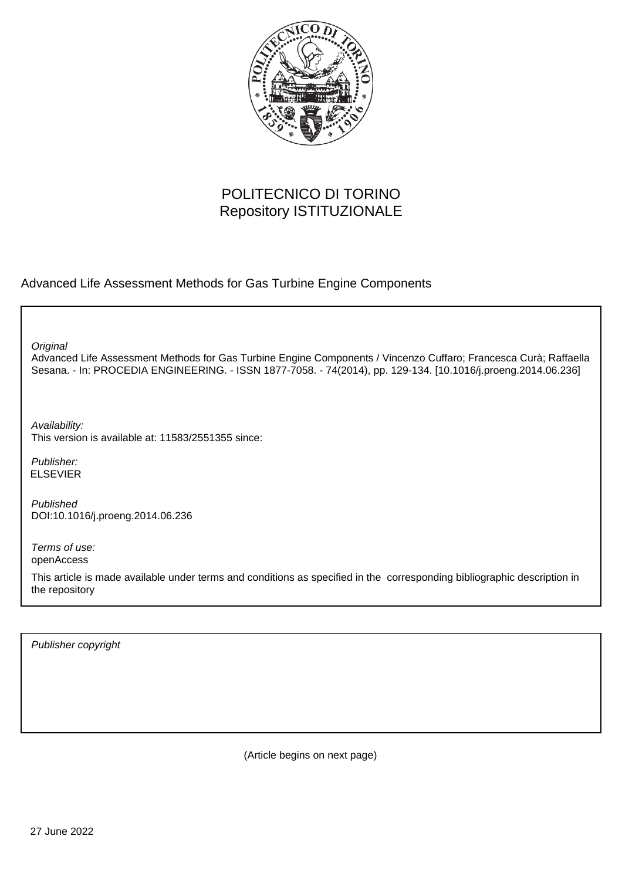

# POLITECNICO DI TORINO Repository ISTITUZIONALE

Advanced Life Assessment Methods for Gas Turbine Engine Components

**Original** 

Advanced Life Assessment Methods for Gas Turbine Engine Components / Vincenzo Cuffaro; Francesca Curà; Raffaella Sesana. - In: PROCEDIA ENGINEERING. - ISSN 1877-7058. - 74(2014), pp. 129-134. [10.1016/j.proeng.2014.06.236]

Availability: This version is available at: 11583/2551355 since:

Publisher: ELSEVIER

Published DOI:10.1016/j.proeng.2014.06.236

Terms of use: openAccess

This article is made available under terms and conditions as specified in the corresponding bibliographic description in the repository

Publisher copyright

(Article begins on next page)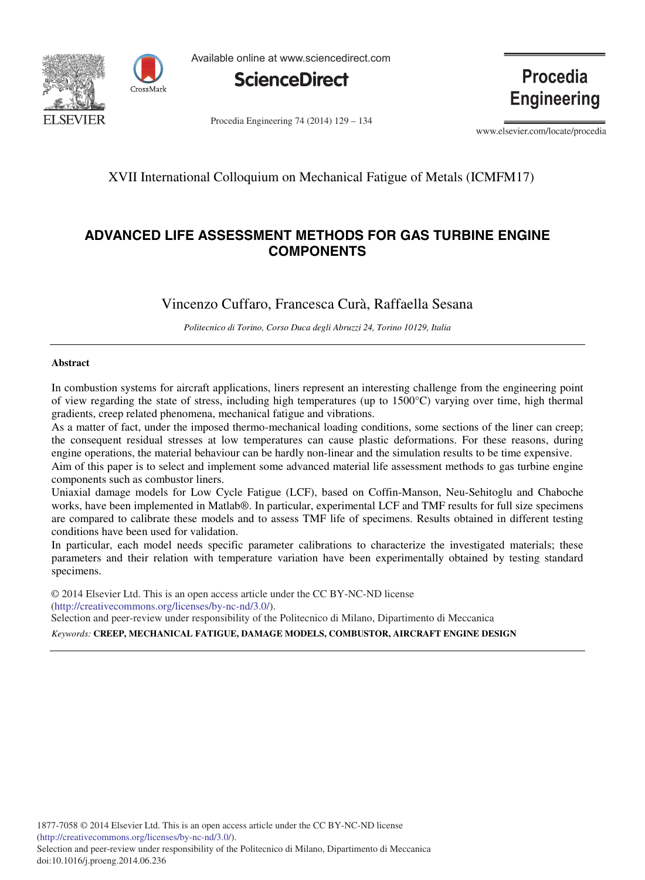



Available online at www.sciencedirect.com



Procedia Engineering 74 (2014) 129 - 134

**Procedia Engineering** 

www.elsevier.com/locate/procedia

# XVII International Colloquium on Mechanical Fatigue of Metals (ICMFM17)

# **ADVANCED LIFE ASSESSMENT METHODS FOR GAS TURBINE ENGINE COMPONENTS**

Vincenzo Cuffaro, Francesca Curà, Raffaella Sesana

*Politecnico di Torino, Corso Duca degli Abruzzi 24, Torino 10129, Italia* 

#### **Abstract**

In combustion systems for aircraft applications, liners represent an interesting challenge from the engineering point of view regarding the state of stress, including high temperatures (up to 1500°C) varying over time, high thermal gradients, creep related phenomena, mechanical fatigue and vibrations.

As a matter of fact, under the imposed thermo-mechanical loading conditions, some sections of the liner can creep; the consequent residual stresses at low temperatures can cause plastic deformations. For these reasons, during engine operations, the material behaviour can be hardly non-linear and the simulation results to be time expensive.

Aim of this paper is to select and implement some advanced material life assessment methods to gas turbine engine components such as combustor liners.

Uniaxial damage models for Low Cycle Fatigue (LCF), based on Coffin-Manson, Neu-Sehitoglu and Chaboche works, have been implemented in Matlab®. In particular, experimental LCF and TMF results for full size specimens are compared to calibrate these models and to assess TMF life of specimens. Results obtained in different testing conditions have been used for validation.

In particular, each model needs specific parameter calibrations to characterize the investigated materials; these parameters and their relation with temperature variation have been experimentally obtained by testing standard specimens.

© 2014 Elsevier Ltd. This is an open access article under the CC BY-NC-ND license (http://creativecommons.org/licenses/by-nc-nd/3.0/). *Keywords:* **CREEP, MECHANICAL FATIGUE, DAMAGE MODELS, COMBUSTOR, AIRCRAFT ENGINE DESIGN** Selection and peer-review under responsibility of the Politecnico di Milano, Dipartimento di Meccanica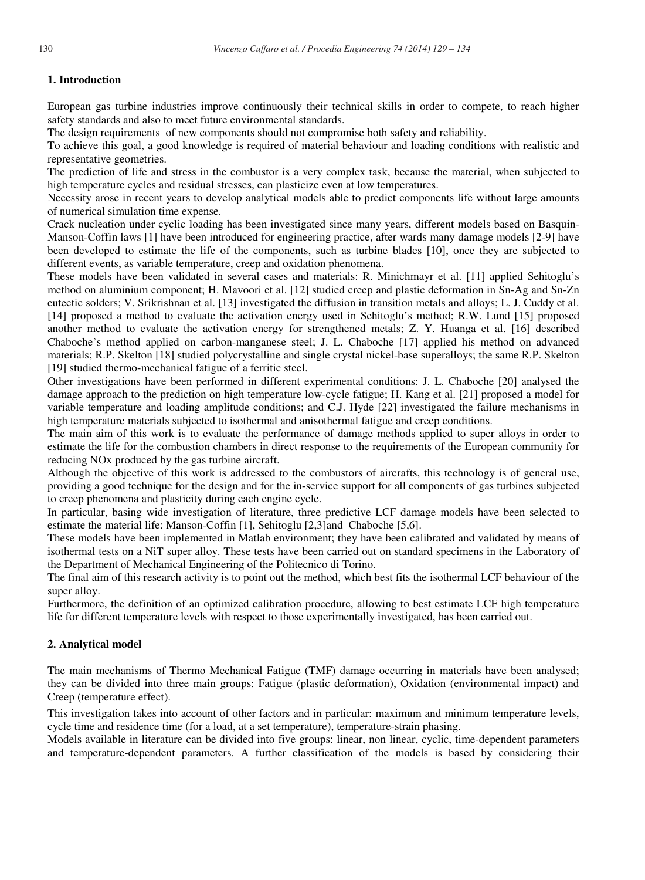## **1. Introduction**

European gas turbine industries improve continuously their technical skills in order to compete, to reach higher safety standards and also to meet future environmental standards.

The design requirements of new components should not compromise both safety and reliability.

To achieve this goal, a good knowledge is required of material behaviour and loading conditions with realistic and representative geometries.

The prediction of life and stress in the combustor is a very complex task, because the material, when subjected to high temperature cycles and residual stresses, can plasticize even at low temperatures.

Necessity arose in recent years to develop analytical models able to predict components life without large amounts of numerical simulation time expense.

Crack nucleation under cyclic loading has been investigated since many years, different models based on Basquin-Manson-Coffin laws [1] have been introduced for engineering practice, after wards many damage models [2-9] have been developed to estimate the life of the components, such as turbine blades [10], once they are subjected to different events, as variable temperature, creep and oxidation phenomena.

These models have been validated in several cases and materials: R. Minichmayr et al. [11] applied Sehitoglu's method on aluminium component; H. Mavoori et al. [12] studied creep and plastic deformation in Sn-Ag and Sn-Zn eutectic solders; V. Srikrishnan et al. [13] investigated the diffusion in transition metals and alloys; L. J. Cuddy et al. [14] proposed a method to evaluate the activation energy used in Sehitoglu's method; R.W. Lund [15] proposed another method to evaluate the activation energy for strengthened metals; Z. Y. Huanga et al. [16] described Chaboche's method applied on carbon-manganese steel; J. L. Chaboche [17] applied his method on advanced materials; R.P. Skelton [18] studied polycrystalline and single crystal nickel-base superalloys; the same R.P. Skelton [19] studied thermo-mechanical fatigue of a ferritic steel.

Other investigations have been performed in different experimental conditions: J. L. Chaboche [20] analysed the damage approach to the prediction on high temperature low-cycle fatigue; H. Kang et al. [21] proposed a model for variable temperature and loading amplitude conditions; and C.J. Hyde [22] investigated the failure mechanisms in high temperature materials subjected to isothermal and anisothermal fatigue and creep conditions.

The main aim of this work is to evaluate the performance of damage methods applied to super alloys in order to estimate the life for the combustion chambers in direct response to the requirements of the European community for reducing NOx produced by the gas turbine aircraft.

Although the objective of this work is addressed to the combustors of aircrafts, this technology is of general use, providing a good technique for the design and for the in-service support for all components of gas turbines subjected to creep phenomena and plasticity during each engine cycle.

In particular, basing wide investigation of literature, three predictive LCF damage models have been selected to estimate the material life: Manson-Coffin [1], Sehitoglu [2,3]and Chaboche [5,6].

These models have been implemented in Matlab environment; they have been calibrated and validated by means of isothermal tests on a NiT super alloy. These tests have been carried out on standard specimens in the Laboratory of the Department of Mechanical Engineering of the Politecnico di Torino.

The final aim of this research activity is to point out the method, which best fits the isothermal LCF behaviour of the super alloy.

Furthermore, the definition of an optimized calibration procedure, allowing to best estimate LCF high temperature life for different temperature levels with respect to those experimentally investigated, has been carried out.

## **2. Analytical model**

The main mechanisms of Thermo Mechanical Fatigue (TMF) damage occurring in materials have been analysed; they can be divided into three main groups: Fatigue (plastic deformation), Oxidation (environmental impact) and Creep (temperature effect).

This investigation takes into account of other factors and in particular: maximum and minimum temperature levels, cycle time and residence time (for a load, at a set temperature), temperature-strain phasing.

Models available in literature can be divided into five groups: linear, non linear, cyclic, time-dependent parameters and temperature-dependent parameters. A further classification of the models is based by considering their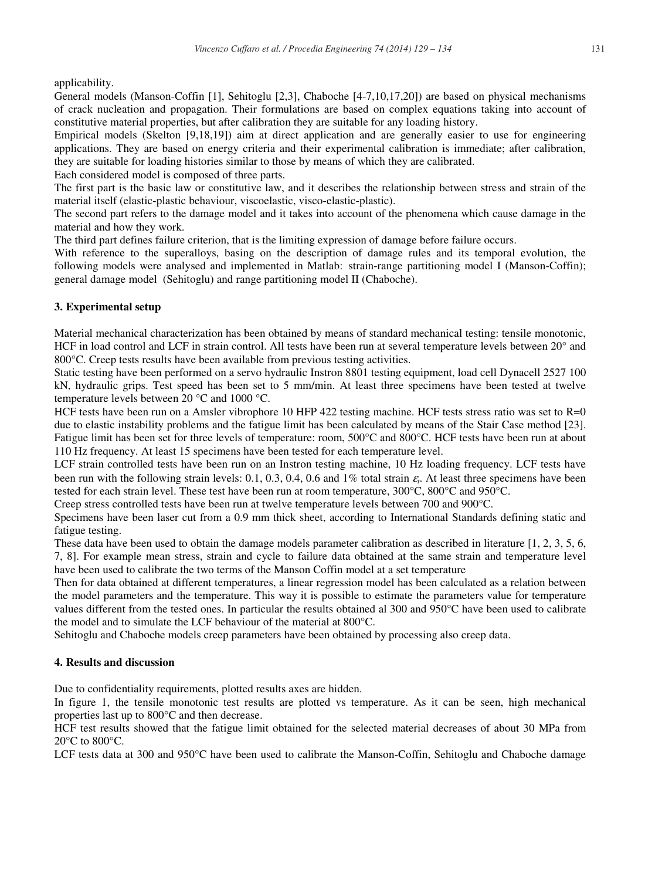applicability.

General models (Manson-Coffin [1], Sehitoglu [2,3], Chaboche [4-7,10,17,20]) are based on physical mechanisms of crack nucleation and propagation. Their formulations are based on complex equations taking into account of constitutive material properties, but after calibration they are suitable for any loading history.

Empirical models (Skelton [9,18,19]) aim at direct application and are generally easier to use for engineering applications. They are based on energy criteria and their experimental calibration is immediate; after calibration, they are suitable for loading histories similar to those by means of which they are calibrated.

Each considered model is composed of three parts.

The first part is the basic law or constitutive law, and it describes the relationship between stress and strain of the material itself (elastic-plastic behaviour, viscoelastic, visco-elastic-plastic).

The second part refers to the damage model and it takes into account of the phenomena which cause damage in the material and how they work.

The third part defines failure criterion, that is the limiting expression of damage before failure occurs.

With reference to the superalloys, basing on the description of damage rules and its temporal evolution, the following models were analysed and implemented in Matlab: strain-range partitioning model I (Manson-Coffin); general damage model (Sehitoglu) and range partitioning model II (Chaboche).

## **3. Experimental setup**

Material mechanical characterization has been obtained by means of standard mechanical testing: tensile monotonic, HCF in load control and LCF in strain control. All tests have been run at several temperature levels between 20° and 800°C. Creep tests results have been available from previous testing activities.

Static testing have been performed on a servo hydraulic Instron 8801 testing equipment, load cell Dynacell 2527 100 kN, hydraulic grips. Test speed has been set to 5 mm/min. At least three specimens have been tested at twelve temperature levels between 20 °C and 1000 °C.

HCF tests have been run on a Amsler vibrophore 10 HFP 422 testing machine. HCF tests stress ratio was set to  $R=0$ due to elastic instability problems and the fatigue limit has been calculated by means of the Stair Case method [23]. Fatigue limit has been set for three levels of temperature: room, 500°C and 800°C. HCF tests have been run at about 110 Hz frequency. At least 15 specimens have been tested for each temperature level.

LCF strain controlled tests have been run on an Instron testing machine, 10 Hz loading frequency. LCF tests have been run with the following strain levels: 0.1, 0.3, 0.4, 0.6 and 1% total strain <sup>ε</sup>*t*. At least three specimens have been tested for each strain level. These test have been run at room temperature, 300°C, 800°C and 950°C.

Creep stress controlled tests have been run at twelve temperature levels between 700 and 900°C.

Specimens have been laser cut from a 0.9 mm thick sheet, according to International Standards defining static and fatigue testing.

These data have been used to obtain the damage models parameter calibration as described in literature [1, 2, 3, 5, 6, 7, 8]. For example mean stress, strain and cycle to failure data obtained at the same strain and temperature level have been used to calibrate the two terms of the Manson Coffin model at a set temperature

Then for data obtained at different temperatures, a linear regression model has been calculated as a relation between the model parameters and the temperature. This way it is possible to estimate the parameters value for temperature values different from the tested ones. In particular the results obtained al 300 and 950°C have been used to calibrate the model and to simulate the LCF behaviour of the material at 800°C.

Sehitoglu and Chaboche models creep parameters have been obtained by processing also creep data.

## **4. Results and discussion**

Due to confidentiality requirements, plotted results axes are hidden.

In figure 1, the tensile monotonic test results are plotted vs temperature. As it can be seen, high mechanical properties last up to 800°C and then decrease.

HCF test results showed that the fatigue limit obtained for the selected material decreases of about 30 MPa from 20°C to 800°C.

LCF tests data at 300 and 950°C have been used to calibrate the Manson-Coffin, Sehitoglu and Chaboche damage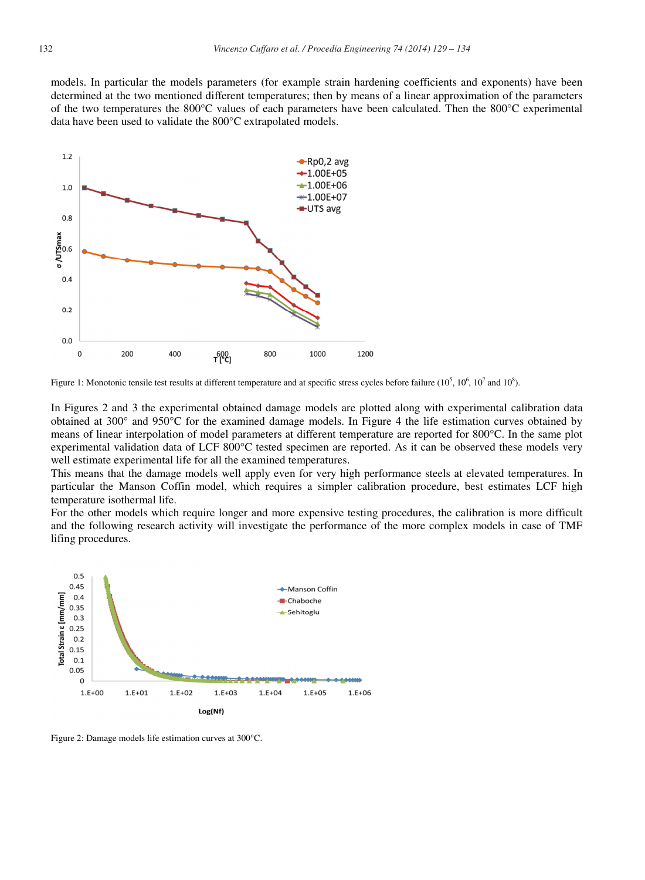models. In particular the models parameters (for example strain hardening coefficients and exponents) have been determined at the two mentioned different temperatures; then by means of a linear approximation of the parameters of the two temperatures the 800°C values of each parameters have been calculated. Then the 800°C experimental data have been used to validate the 800°C extrapolated models.



Figure 1: Monotonic tensile test results at different temperature and at specific stress cycles before failure  $(10^5, 10^6, 10^7, 10^8)$ .

In Figures 2 and 3 the experimental obtained damage models are plotted along with experimental calibration data obtained at 300° and 950°C for the examined damage models. In Figure 4 the life estimation curves obtained by means of linear interpolation of model parameters at different temperature are reported for 800°C. In the same plot experimental validation data of LCF 800°C tested specimen are reported. As it can be observed these models very well estimate experimental life for all the examined temperatures.

This means that the damage models well apply even for very high performance steels at elevated temperatures. In particular the Manson Coffin model, which requires a simpler calibration procedure, best estimates LCF high temperature isothermal life.

For the other models which require longer and more expensive testing procedures, the calibration is more difficult and the following research activity will investigate the performance of the more complex models in case of TMF lifing procedures.



Figure 2: Damage models life estimation curves at 300°C.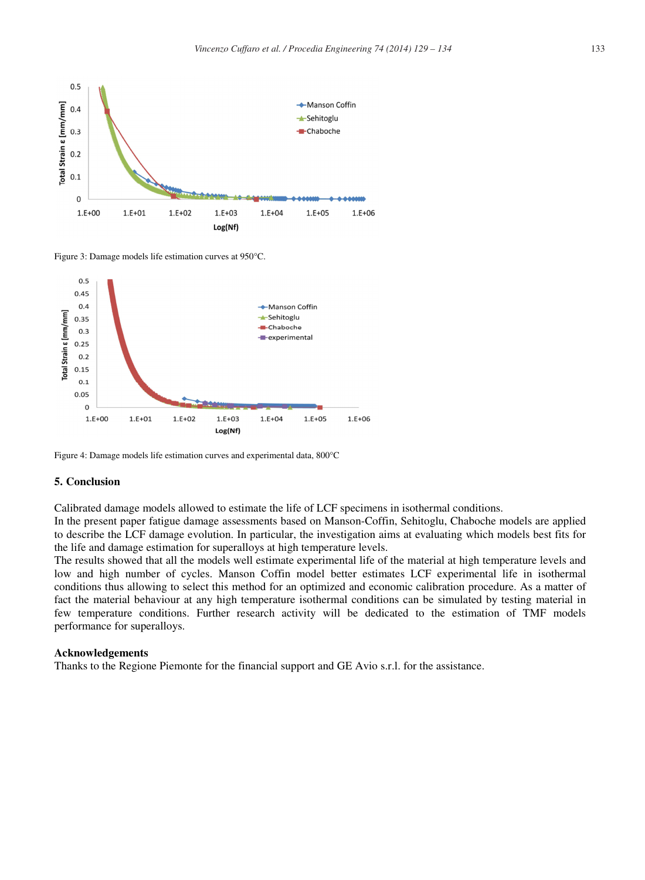

Figure 3: Damage models life estimation curves at 950°C.



Figure 4: Damage models life estimation curves and experimental data, 800°C

#### **5. Conclusion**

Calibrated damage models allowed to estimate the life of LCF specimens in isothermal conditions.

In the present paper fatigue damage assessments based on Manson-Coffin, Sehitoglu, Chaboche models are applied to describe the LCF damage evolution. In particular, the investigation aims at evaluating which models best fits for the life and damage estimation for superalloys at high temperature levels.

The results showed that all the models well estimate experimental life of the material at high temperature levels and low and high number of cycles. Manson Coffin model better estimates LCF experimental life in isothermal conditions thus allowing to select this method for an optimized and economic calibration procedure. As a matter of fact the material behaviour at any high temperature isothermal conditions can be simulated by testing material in few temperature conditions. Further research activity will be dedicated to the estimation of TMF models performance for superalloys.

#### **Acknowledgements**

Thanks to the Regione Piemonte for the financial support and GE Avio s.r.l. for the assistance.